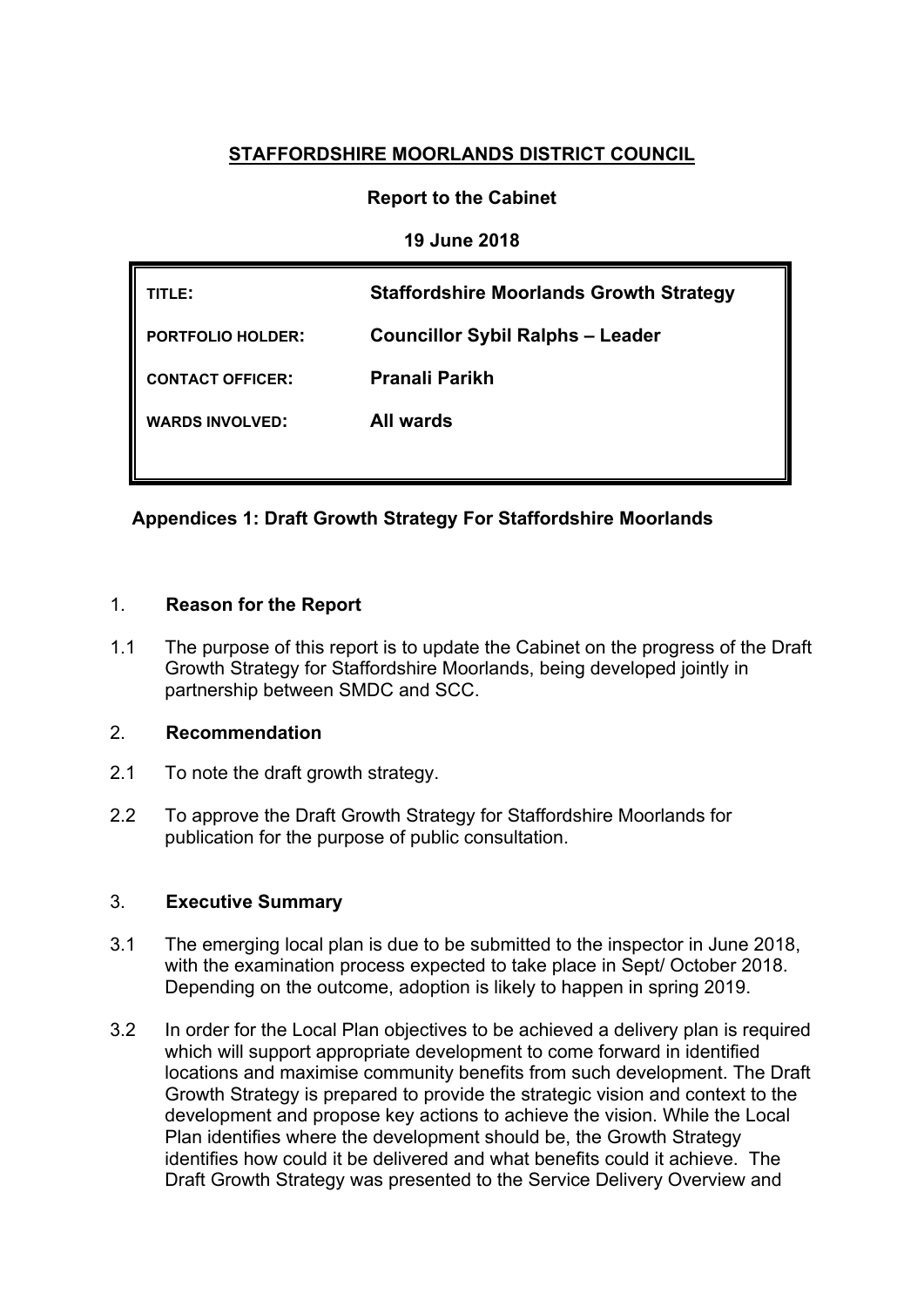# **STAFFORDSHIRE MOORLANDS DISTRICT COUNCIL**

# **Report to the Cabinet**

# **19 June 2018**

| TITLE:                   | <b>Staffordshire Moorlands Growth Strategy</b> |
|--------------------------|------------------------------------------------|
| <b>PORTFOLIO HOLDER:</b> | <b>Councillor Sybil Ralphs - Leader</b>        |
| <b>CONTACT OFFICER:</b>  | <b>Pranali Parikh</b>                          |
| <b>WARDS INVOLVED:</b>   | <b>All wards</b>                               |
|                          |                                                |

# **Appendices 1: Draft Growth Strategy For Staffordshire Moorlands**

### 1. **Reason for the Report**

1.1 The purpose of this report is to update the Cabinet on the progress of the Draft Growth Strategy for Staffordshire Moorlands, being developed jointly in partnership between SMDC and SCC.

### 2. **Recommendation**

- 2.1 To note the draft growth strategy.
- 2.2 To approve the Draft Growth Strategy for Staffordshire Moorlands for publication for the purpose of public consultation.

### 3. **Executive Summary**

- 3.1 The emerging local plan is due to be submitted to the inspector in June 2018, with the examination process expected to take place in Sept/ October 2018. Depending on the outcome, adoption is likely to happen in spring 2019.
- 3.2 In order for the Local Plan objectives to be achieved a delivery plan is required which will support appropriate development to come forward in identified locations and maximise community benefits from such development. The Draft Growth Strategy is prepared to provide the strategic vision and context to the development and propose key actions to achieve the vision. While the Local Plan identifies where the development should be, the Growth Strategy identifies how could it be delivered and what benefits could it achieve. The Draft Growth Strategy was presented to the Service Delivery Overview and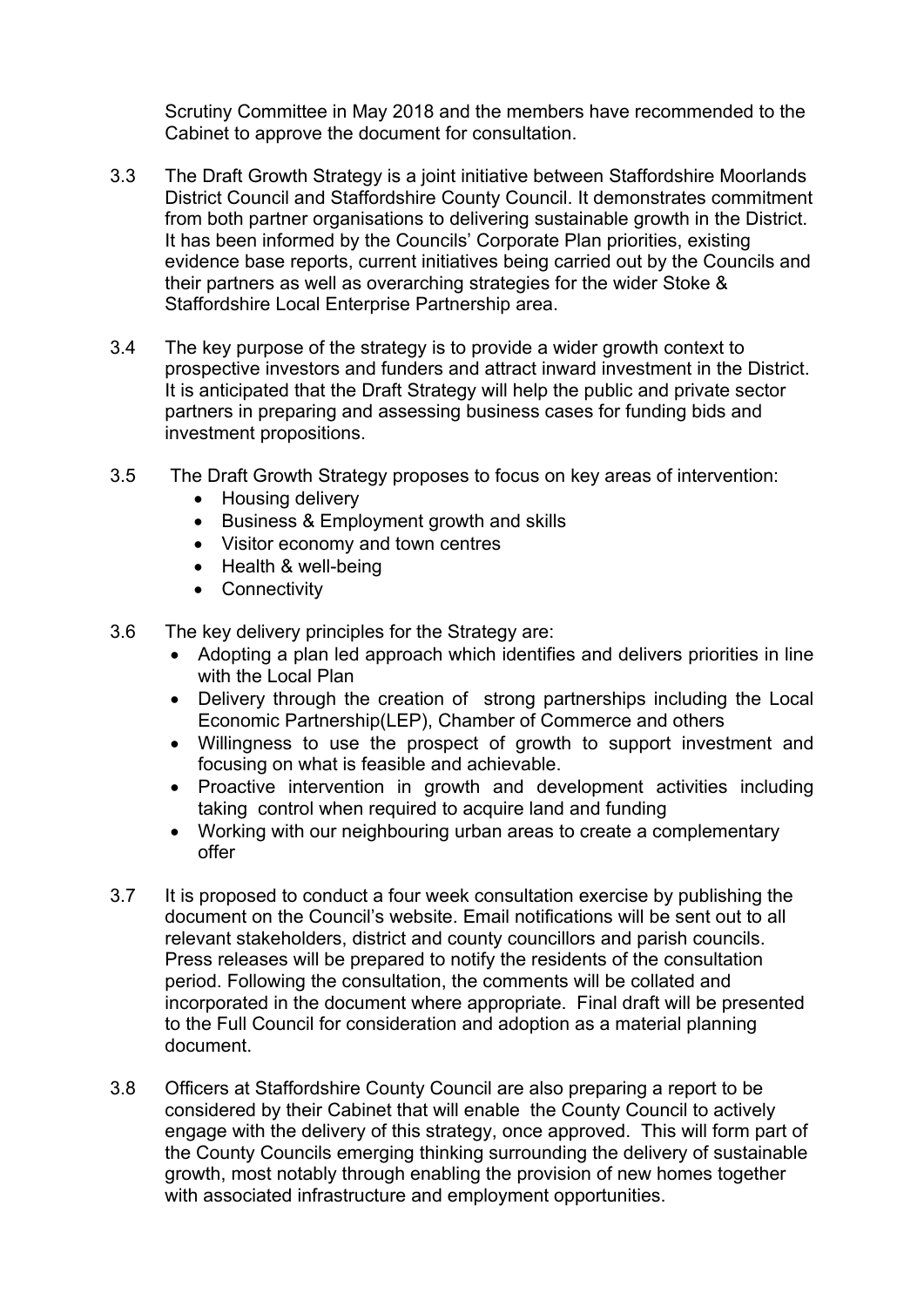Scrutiny Committee in May 2018 and the members have recommended to the Cabinet to approve the document for consultation.

- 3.3 The Draft Growth Strategy is a joint initiative between Staffordshire Moorlands District Council and Staffordshire County Council. It demonstrates commitment from both partner organisations to delivering sustainable growth in the District. It has been informed by the Councils' Corporate Plan priorities, existing evidence base reports, current initiatives being carried out by the Councils and their partners as well as overarching strategies for the wider Stoke & Staffordshire Local Enterprise Partnership area.
- 3.4 The key purpose of the strategy is to provide a wider growth context to prospective investors and funders and attract inward investment in the District. It is anticipated that the Draft Strategy will help the public and private sector partners in preparing and assessing business cases for funding bids and investment propositions.
- 3.5 The Draft Growth Strategy proposes to focus on key areas of intervention:
	- Housing delivery
	- Business & Employment growth and skills
	- Visitor economy and town centres
	- Health & well-being
	- Connectivity
- 3.6 The key delivery principles for the Strategy are:
	- Adopting a plan led approach which identifies and delivers priorities in line with the Local Plan
	- Delivery through the creation of strong partnerships including the Local Economic Partnership(LEP), Chamber of Commerce and others
	- Willingness to use the prospect of growth to support investment and focusing on what is feasible and achievable.
	- Proactive intervention in growth and development activities including taking control when required to acquire land and funding
	- Working with our neighbouring urban areas to create a complementary offer
- 3.7 It is proposed to conduct a four week consultation exercise by publishing the document on the Council's website. Email notifications will be sent out to all relevant stakeholders, district and county councillors and parish councils. Press releases will be prepared to notify the residents of the consultation period. Following the consultation, the comments will be collated and incorporated in the document where appropriate. Final draft will be presented to the Full Council for consideration and adoption as a material planning document.
- 3.8 Officers at Staffordshire County Council are also preparing a report to be considered by their Cabinet that will enable the County Council to actively engage with the delivery of this strategy, once approved. This will form part of the County Councils emerging thinking surrounding the delivery of sustainable growth, most notably through enabling the provision of new homes together with associated infrastructure and employment opportunities.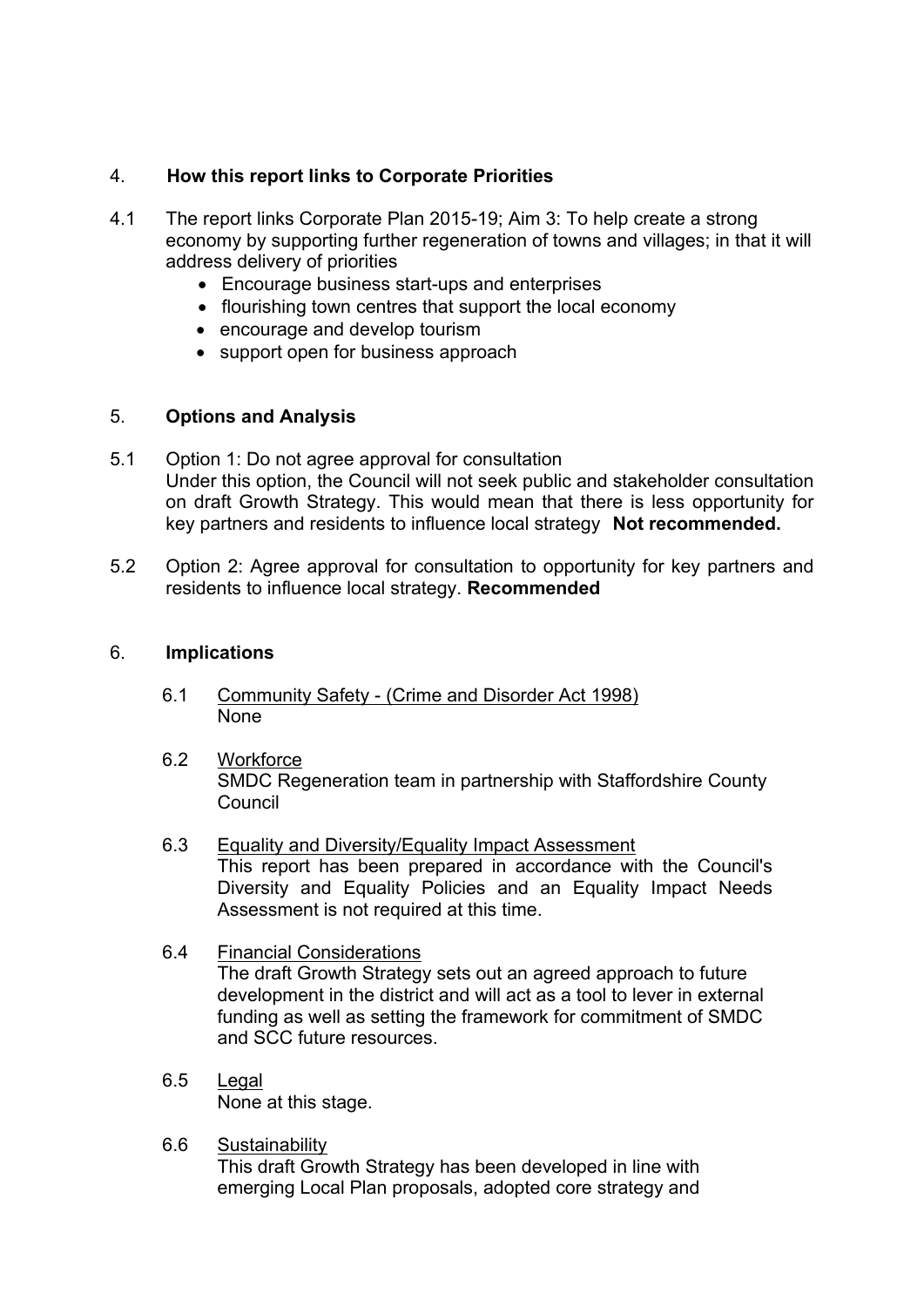### 4. **How this report links to Corporate Priorities**

- 4.1 The report links Corporate Plan 2015-19; Aim 3: To help create a strong economy by supporting further regeneration of towns and villages; in that it will address delivery of priorities
	- Encourage business start-ups and enterprises
	- flourishing town centres that support the local economy
	- encourage and develop tourism
	- support open for business approach

### 5. **Options and Analysis**

- 5.1 Option 1: Do not agree approval for consultation Under this option, the Council will not seek public and stakeholder consultation on draft Growth Strategy. This would mean that there is less opportunity for key partners and residents to influence local strategy **Not recommended.**
- 5.2 Option 2: Agree approval for consultation to opportunity for key partners and residents to influence local strategy. **Recommended**

#### 6. **Implications**

- 6.1 Community Safety (Crime and Disorder Act 1998) None
- 6.2 Workforce SMDC Regeneration team in partnership with Staffordshire County Council
- 6.3 Equality and Diversity/Equality Impact Assessment This report has been prepared in accordance with the Council's Diversity and Equality Policies and an Equality Impact Needs Assessment is not required at this time.
- 6.4 Financial Considerations The draft Growth Strategy sets out an agreed approach to future development in the district and will act as a tool to lever in external funding as well as setting the framework for commitment of SMDC and SCC future resources.
- 6.5 Legal None at this stage.
- 6.6 Sustainability This draft Growth Strategy has been developed in line with emerging Local Plan proposals, adopted core strategy and